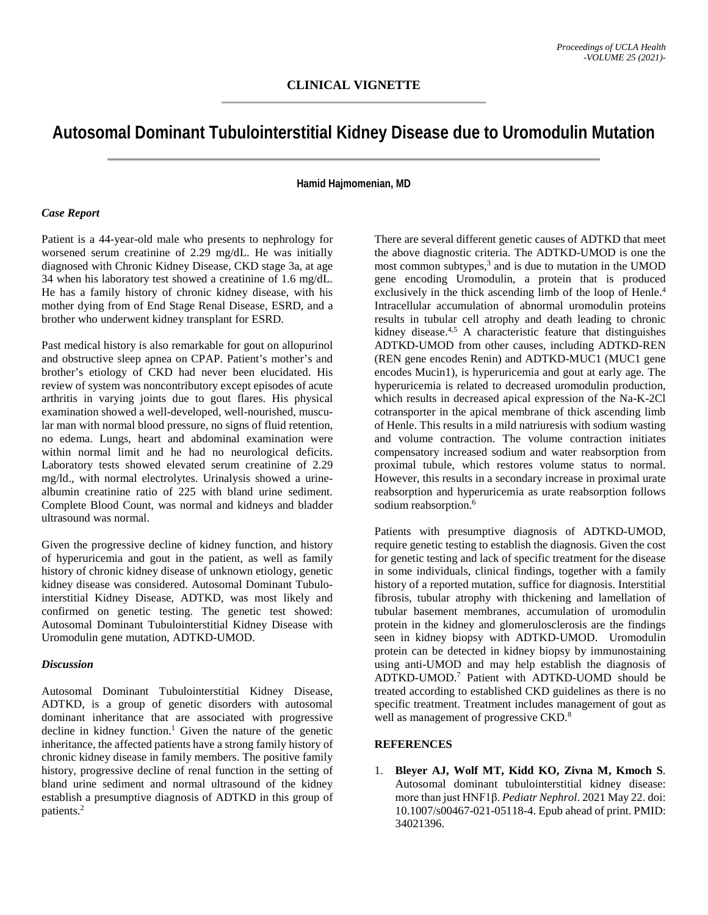# **Autosomal Dominant Tubulointerstitial Kidney Disease due to Uromodulin Mutation**

## **Hamid Hajmomenian, MD**

### *Case Report*

Patient is a 44-year-old male who presents to nephrology for worsened serum creatinine of 2.29 mg/dL. He was initially diagnosed with Chronic Kidney Disease, CKD stage 3a, at age 34 when his laboratory test showed a creatinine of 1.6 mg/dL. He has a family history of chronic kidney disease, with his mother dying from of End Stage Renal Disease, ESRD, and a brother who underwent kidney transplant for ESRD.

Past medical history is also remarkable for gout on allopurinol and obstructive sleep apnea on CPAP. Patient's mother's and brother's etiology of CKD had never been elucidated. His review of system was noncontributory except episodes of acute arthritis in varying joints due to gout flares. His physical examination showed a well-developed, well-nourished, muscular man with normal blood pressure, no signs of fluid retention, no edema. Lungs, heart and abdominal examination were within normal limit and he had no neurological deficits. Laboratory tests showed elevated serum creatinine of 2.29 mg/ld., with normal electrolytes. Urinalysis showed a urinealbumin creatinine ratio of 225 with bland urine sediment. Complete Blood Count, was normal and kidneys and bladder ultrasound was normal.

Given the progressive decline of kidney function, and history of hyperuricemia and gout in the patient, as well as family history of chronic kidney disease of unknown etiology, genetic kidney disease was considered. Autosomal Dominant Tubulointerstitial Kidney Disease, ADTKD, was most likely and confirmed on genetic testing. The genetic test showed: Autosomal Dominant Tubulointerstitial Kidney Disease with Uromodulin gene mutation, ADTKD-UMOD.

#### *Discussion*

Autosomal Dominant Tubulointerstitial Kidney Disease, ADTKD, is a group of genetic disorders with autosomal dominant inheritance that are associated with progressive decline in kidney function.<sup>1</sup> Given the nature of the genetic inheritance, the affected patients have a strong family history of chronic kidney disease in family members. The positive family history, progressive decline of renal function in the setting of bland urine sediment and normal ultrasound of the kidney establish a presumptive diagnosis of ADTKD in this group of patients.2

There are several different genetic causes of ADTKD that meet the above diagnostic criteria. The ADTKD-UMOD is one the most common subtypes, <sup>3</sup> and is due to mutation in the UMOD gene encoding Uromodulin, a protein that is produced exclusively in the thick ascending limb of the loop of Henle.<sup>4</sup> Intracellular accumulation of abnormal uromodulin proteins results in tubular cell atrophy and death leading to chronic kidney disease. $4.5$  A characteristic feature that distinguishes ADTKD-UMOD from other causes, including ADTKD-REN (REN gene encodes Renin) and ADTKD-MUC1 (MUC1 gene encodes Mucin1), is hyperuricemia and gout at early age. The hyperuricemia is related to decreased uromodulin production, which results in decreased apical expression of the Na-K-2Cl cotransporter in the apical membrane of thick ascending limb of Henle. This results in a mild natriuresis with sodium wasting and volume contraction. The volume contraction initiates compensatory increased sodium and water reabsorption from proximal tubule, which restores volume status to normal. However, this results in a secondary increase in proximal urate reabsorption and hyperuricemia as urate reabsorption follows sodium reabsorption.<sup>6</sup>

Patients with presumptive diagnosis of ADTKD-UMOD, require genetic testing to establish the diagnosis. Given the cost for genetic testing and lack of specific treatment for the disease in some individuals, clinical findings, together with a family history of a reported mutation, suffice for diagnosis. Interstitial fibrosis, tubular atrophy with thickening and lamellation of tubular basement membranes, accumulation of uromodulin protein in the kidney and glomerulosclerosis are the findings seen in kidney biopsy with ADTKD-UMOD. Uromodulin protein can be detected in kidney biopsy by immunostaining using anti-UMOD and may help establish the diagnosis of ADTKD-UMOD. <sup>7</sup> Patient with ADTKD-UOMD should be treated according to established CKD guidelines as there is no specific treatment. Treatment includes management of gout as well as management of progressive CKD.<sup>8</sup>

### **REFERENCES**

1. **Bleyer AJ, Wolf MT, Kidd KO, Zivna M, Kmoch S**. Autosomal dominant tubulointerstitial kidney disease: more than just HNF1β. *Pediatr Nephrol*. 2021 May 22. doi: 10.1007/s00467-021-05118-4. Epub ahead of print. PMID: 34021396.